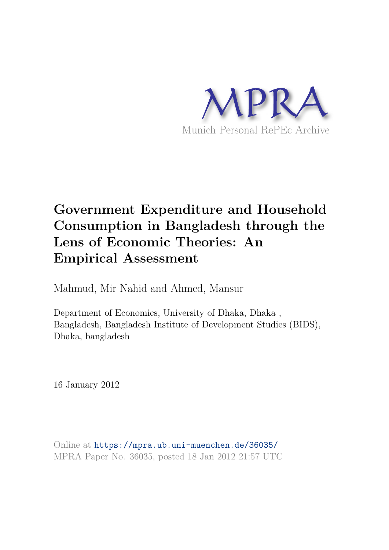

# **Government Expenditure and Household Consumption in Bangladesh through the Lens of Economic Theories: An Empirical Assessment**

Mahmud, Mir Nahid and Ahmed, Mansur

Department of Economics, University of Dhaka, Dhaka , Bangladesh, Bangladesh Institute of Development Studies (BIDS), Dhaka, bangladesh

16 January 2012

Online at https://mpra.ub.uni-muenchen.de/36035/ MPRA Paper No. 36035, posted 18 Jan 2012 21:57 UTC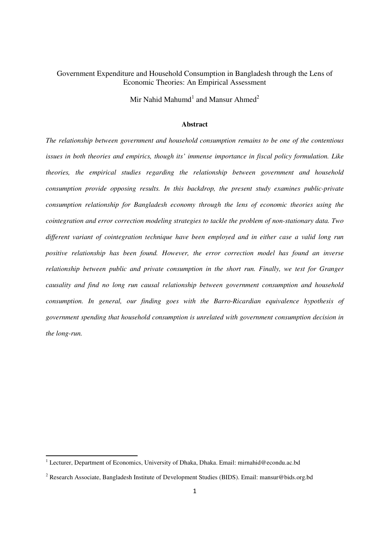# Government Expenditure and Household Consumption in Bangladesh through the Lens of Economic Theories: An Empirical Assessment

Mir Nahid Mahumd<sup>1</sup> and Mansur Ahmed<sup>2</sup>

#### **Abstract**

*The relationship between government and household consumption remains to be one of the contentious issues in both theories and empirics, though its' immense importance in fiscal policy formulation. Like theories, the empirical studies regarding the relationship between government and household consumption provide opposing results. In this backdrop, the present study examines public-private consumption relationship for Bangladesh economy through the lens of economic theories using the cointegration and error correction modeling strategies to tackle the problem of non-stationary data. Two different variant of cointegration technique have been employed and in either case a valid long run positive relationship has been found. However, the error correction model has found an inverse relationship between public and private consumption in the short run. Finally, we test for Granger causality and find no long run causal relationship between government consumption and household consumption. In general, our finding goes with the Barro-Ricardian equivalence hypothesis of government spending that household consumption is unrelated with government consumption decision in the long-run.* 

<u>.</u>

<sup>&</sup>lt;sup>1</sup> Lecturer, Department of Economics, University of Dhaka, Dhaka. Email: mirnahid@econdu.ac.bd

<sup>&</sup>lt;sup>2</sup> Research Associate, Bangladesh Institute of Development Studies (BIDS). Email: mansur@bids.org.bd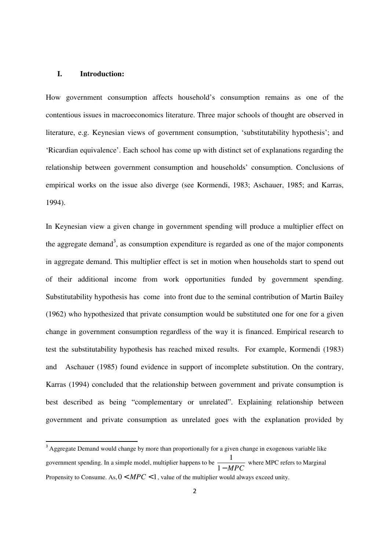## **I. Introduction:**

<u>.</u>

How government consumption affects household's consumption remains as one of the contentious issues in macroeconomics literature. Three major schools of thought are observed in literature, e.g. Keynesian views of government consumption, 'substitutability hypothesis'; and 'Ricardian equivalence'. Each school has come up with distinct set of explanations regarding the relationship between government consumption and households' consumption. Conclusions of empirical works on the issue also diverge (see Kormendi, 1983; Aschauer, 1985; and Karras, 1994).

In Keynesian view a given change in government spending will produce a multiplier effect on the aggregate demand<sup>3</sup>, as consumption expenditure is regarded as one of the major components in aggregate demand. This multiplier effect is set in motion when households start to spend out of their additional income from work opportunities funded by government spending. Substitutability hypothesis has come into front due to the seminal contribution of Martin Bailey (1962) who hypothesized that private consumption would be substituted one for one for a given change in government consumption regardless of the way it is financed. Empirical research to test the substitutability hypothesis has reached mixed results. For example, Kormendi (1983) and Aschauer (1985) found evidence in support of incomplete substitution. On the contrary, Karras (1994) concluded that the relationship between government and private consumption is best described as being "complementary or unrelated". Explaining relationship between government and private consumption as unrelated goes with the explanation provided by

<sup>&</sup>lt;sup>3</sup> Aggregate Demand would change by more than proportionally for a given change in exogenous variable like government spending. In a simple model, multiplier happens to be  $\frac{1}{\sqrt{1-\frac{1}{n}}}$  $\frac{1 - MPC}{1 - MPC}$  where MPC refers to Marginal Propensity to Consume. As,  $0 < MPC < 1$ , value of the multiplier would always exceed unity.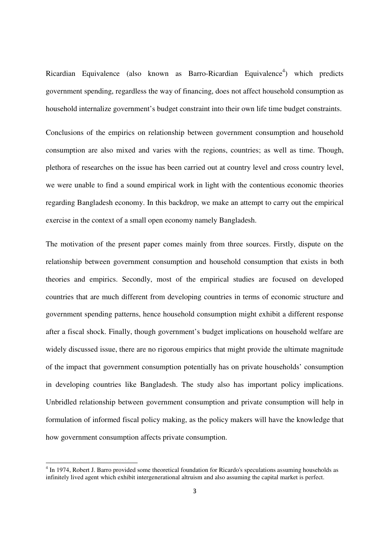Ricardian Equivalence (also known as Barro-Ricardian Equivalence<sup>4</sup>) which predicts government spending, regardless the way of financing, does not affect household consumption as household internalize government's budget constraint into their own life time budget constraints.

Conclusions of the empirics on relationship between government consumption and household consumption are also mixed and varies with the regions, countries; as well as time. Though, plethora of researches on the issue has been carried out at country level and cross country level, we were unable to find a sound empirical work in light with the contentious economic theories regarding Bangladesh economy. In this backdrop, we make an attempt to carry out the empirical exercise in the context of a small open economy namely Bangladesh.

The motivation of the present paper comes mainly from three sources. Firstly, dispute on the relationship between government consumption and household consumption that exists in both theories and empirics. Secondly, most of the empirical studies are focused on developed countries that are much different from developing countries in terms of economic structure and government spending patterns, hence household consumption might exhibit a different response after a fiscal shock. Finally, though government's budget implications on household welfare are widely discussed issue, there are no rigorous empirics that might provide the ultimate magnitude of the impact that government consumption potentially has on private households' consumption in developing countries like Bangladesh. The study also has important policy implications. Unbridled relationship between government consumption and private consumption will help in formulation of informed fiscal policy making, as the policy makers will have the knowledge that how government consumption affects private consumption.

-

<sup>&</sup>lt;sup>4</sup> In 1974, Robert J. Barro provided some theoretical foundation for Ricardo's speculations assuming households as infinitely lived agent which exhibit intergenerational altruism and also assuming the capital market is perfect.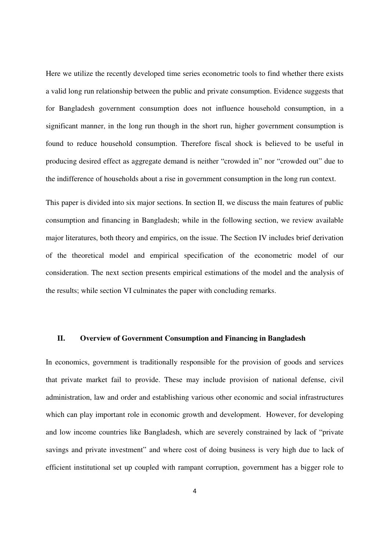Here we utilize the recently developed time series econometric tools to find whether there exists a valid long run relationship between the public and private consumption. Evidence suggests that for Bangladesh government consumption does not influence household consumption, in a significant manner, in the long run though in the short run, higher government consumption is found to reduce household consumption. Therefore fiscal shock is believed to be useful in producing desired effect as aggregate demand is neither "crowded in" nor "crowded out" due to the indifference of households about a rise in government consumption in the long run context.

This paper is divided into six major sections. In section II, we discuss the main features of public consumption and financing in Bangladesh; while in the following section, we review available major literatures, both theory and empirics, on the issue. The Section IV includes brief derivation of the theoretical model and empirical specification of the econometric model of our consideration. The next section presents empirical estimations of the model and the analysis of the results; while section VI culminates the paper with concluding remarks.

## **II. Overview of Government Consumption and Financing in Bangladesh**

In economics, government is traditionally responsible for the provision of goods and services that private market fail to provide. These may include provision of national defense, civil administration, law and order and establishing various other economic and social infrastructures which can play important role in economic growth and development. However, for developing and low income countries like Bangladesh, which are severely constrained by lack of "private savings and private investment" and where cost of doing business is very high due to lack of efficient institutional set up coupled with rampant corruption, government has a bigger role to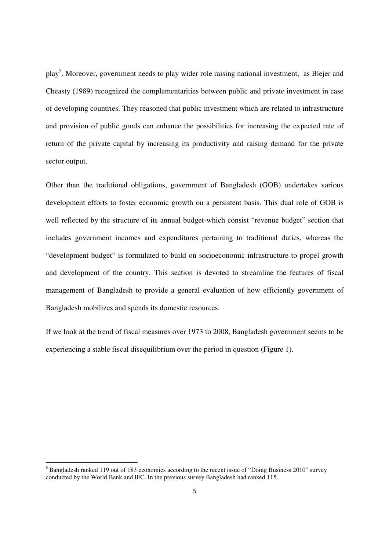play<sup>5</sup>. Moreover, government needs to play wider role raising national investment, as Blejer and Cheasty (1989) recognized the complementarities between public and private investment in case of developing countries. They reasoned that public investment which are related to infrastructure and provision of public goods can enhance the possibilities for increasing the expected rate of return of the private capital by increasing its productivity and raising demand for the private sector output.

Other than the traditional obligations, government of Bangladesh (GOB) undertakes various development efforts to foster economic growth on a persistent basis. This dual role of GOB is well reflected by the structure of its annual budget-which consist "revenue budget" section that includes government incomes and expenditures pertaining to traditional duties, whereas the "development budget" is formulated to build on socioeconomic infrastructure to propel growth and development of the country. This section is devoted to streamline the features of fiscal management of Bangladesh to provide a general evaluation of how efficiently government of Bangladesh mobilizes and spends its domestic resources.

If we look at the trend of fiscal measures over 1973 to 2008, Bangladesh government seems to be experiencing a stable fiscal disequilibrium over the period in question (Figure 1).

<u>.</u>

<sup>&</sup>lt;sup>5</sup> Bangladesh ranked 119 out of 183 economies according to the recent issue of "Doing Business 2010" survey conducted by the World Bank and IFC. In the previous survey Bangladesh had ranked 115.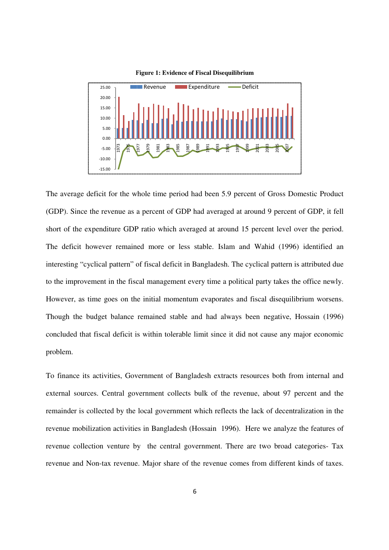

**F Figure 1: Evidence of Fiscal Disequilibrium** 

The average deficit for the whole time period had been 5.9 percent of Gross Domestic Product (GDP). Since the revenue as a percent of GDP had averaged at around 9 percent of GDP, it fell short of the expenditure GDP ratio which averaged at around 15 percent level over the period. The deficit however remained more or less stable. Islam and Wahid (1996) identified an interesting "cyclical pattern" of fiscal deficit in Bangladesh. The cyclical pattern is attributed due to the improvement in the fiscal management every time a political party takes the office newly. However, as time goes on the initial momentum evaporates and fiscal disequilibrium worsens. Though the budget balance remained stable and had always been negative, Hossain (1996) concluded that fiscal deficit is within tolerable limit since it did not cause any major economic problem. We are the revenue comes from different states in Bangladesh. The cyclical party is a percent of GDP had averaged at around 15 percent in and more or less stable. Islam and Wahid " of fiscal deficit in Bangladesh. The cyc Gross Domestic Product<br>9 percent of GDP, it fell<br>ent level over the period.<br>id (1996) identified an<br>1 pattern is attributed due<br>1y takes the office newly.<br>disequilibrium worsens.<br>legative, Hossain (1996)<br>use any major eco

To finance its activities, Government of Bangladesh extracts resources both from internal and external sources. Central government collects bulk of the revenue, about 97 percent and the remainder is collected by the local government which reflects the lack of decentralization in the revenue mobilization activities in Bangladesh (Hossain 1996). Here we analyze the features of revenue collection venture by the central government. There are two broad categories- Tax revenue and Non-tax revenue. Major share of the revenue comes from different kinds of taxes.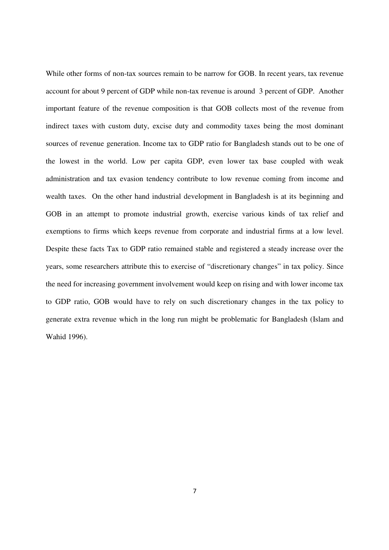While other forms of non-tax sources remain to be narrow for GOB. In recent years, tax revenue account for about 9 percent of GDP while non-tax revenue is around 3 percent of GDP. Another important feature of the revenue composition is that GOB collects most of the revenue from indirect taxes with custom duty, excise duty and commodity taxes being the most dominant sources of revenue generation. Income tax to GDP ratio for Bangladesh stands out to be one of the lowest in the world. Low per capita GDP, even lower tax base coupled with weak administration and tax evasion tendency contribute to low revenue coming from income and wealth taxes. On the other hand industrial development in Bangladesh is at its beginning and GOB in an attempt to promote industrial growth, exercise various kinds of tax relief and exemptions to firms which keeps revenue from corporate and industrial firms at a low level. Despite these facts Tax to GDP ratio remained stable and registered a steady increase over the years, some researchers attribute this to exercise of "discretionary changes" in tax policy. Since the need for increasing government involvement would keep on rising and with lower income tax to GDP ratio, GOB would have to rely on such discretionary changes in the tax policy to generate extra revenue which in the long run might be problematic for Bangladesh (Islam and Wahid 1996).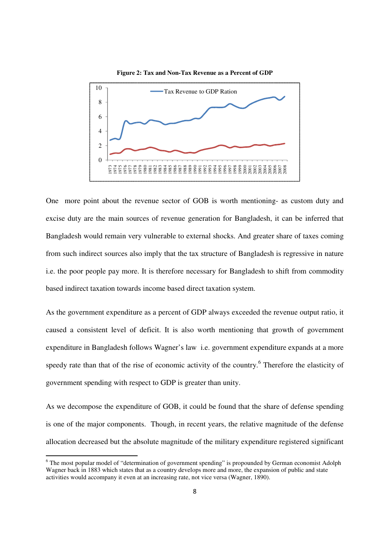

Figure 2: Tax and Non-Tax Revenue as a Percent of GDP

One more point about the revenue sector of GOB is worth mentioning- as custom duty and excise duty are the main sources of revenue generation for Bangladesh, it can be inferred that Bangladesh would remain very vulnerable to external shocks. And greater share of taxes coming from such indirect sources also imply that the tax structure of Bangladesh is regressive in nature i.e. the poor people pay more. It is therefore necessary for Bangladesh to shift from commodity based indirect taxation towards income based direct taxation system. n at an increasing rate, not vice versa (Wagner, 1890). 1979 1980 1981 1982 1983 1984 1985 1986 1987 1988 1989 1990 1991 1992 1993 1994 1995 1996 1997 1998 1999 2000 2001 2002 2003 2004 2005 sion of public and state 2006 2007 2008

As the government expenditure as a percent of GDP always exceeded the revenue output ratio, it caused a consistent level of deficit. It is also worth mentioning that growth of government expenditure in Bangladesh follows Wagner's law i.e. government expenditure expands at a more speedy rate than that of the rise of economic activity of the country.<sup>6</sup> Therefore the elasticity of government spending with respect to GDP is greater than unity.

As we decompose the expenditure of GOB, it could be found that the share of defense spending is one of the major components. Though, in recent years, the relative magnitude of the defense allocation decreased but the absolute magnitude of the military expenditure registered significant

 $\overline{a}$ 

 $\overline{a}$ 

 $6$  The most popular model of "determination of government spending" is propounded by German economist Adolph Wagner back in 1883 which states that as a country develops more and more, the expansio activities would accompany it even at an increasing rate, not vice versa (Wagner, 1890).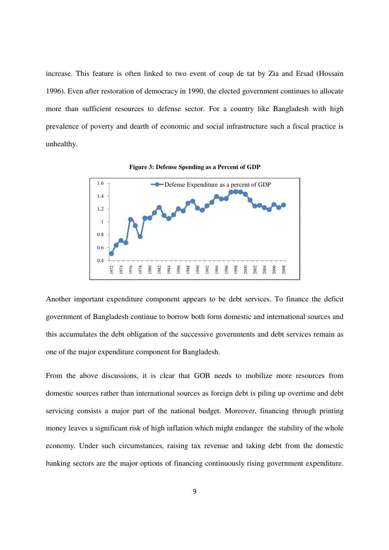increase. This feature is often linked to two event of coup de tat by Zia and Ersad (Hossain 1996). Even after restoration of democracy in 1990, the elected government continues to allocate more than sufficient resources to defense sector. For a country like Bangladesh with high prevalence of poverty and dearth of economic and social infrastructure such a fiscal practice is unhealthy.



**Fig igure 3: Defense Spending as a Percent of GDP**

Another important expenditure component appears to be debt services. To finance the deficit government of Bangladesh continue to borrow both form domestic and international sources and this accumulates the debt obligation of the successive governments and debt services remain as one of the major expenditure component for Bangladesh.

From the above discussions, it is clear that GOB needs to mobilize more resources from domestic sources rather than international sources as foreign debt is piling up overtime and debt servicing consists a major part of the national budget. Moreover, financing through printing money leaves a significant risk of high inflation which might endanger the stability of the whole economy. Under such circumstances, raising tax revenue and taking debt from the domestic banking sectors are the major options of financing continuously rising government expenditure. Example 1 and the second of the successive governments and de exemple to borrow both form domestic and inte bligation of the successive governments and de exemponent for Bangladesh.<br>
18, it is clear that GOB needs to mobi  $\frac{2}{3}$  and  $\frac{2}{3}$ .<br>
S. To finance the deficit<br>
international sources and<br>
debt services remain as<br>
ze more resources from<br>
ing up overtime and debt<br>
hancing through printing<br>
the stability of the whole<br>
debt from th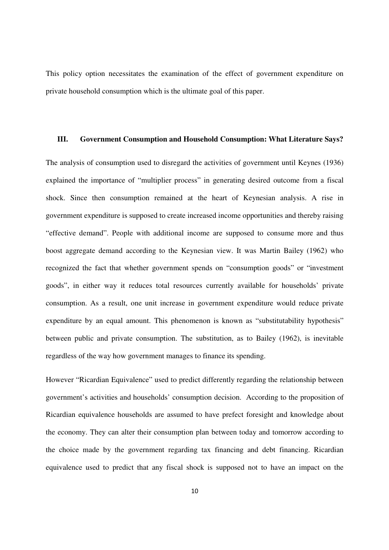This policy option necessitates the examination of the effect of government expenditure on private household consumption which is the ultimate goal of this paper.

# **III. Government Consumption and Household Consumption: What Literature Says?**

The analysis of consumption used to disregard the activities of government until Keynes (1936) explained the importance of "multiplier process" in generating desired outcome from a fiscal shock. Since then consumption remained at the heart of Keynesian analysis. A rise in government expenditure is supposed to create increased income opportunities and thereby raising "effective demand". People with additional income are supposed to consume more and thus boost aggregate demand according to the Keynesian view. It was Martin Bailey (1962) who recognized the fact that whether government spends on "consumption goods" or "investment goods", in either way it reduces total resources currently available for households' private consumption. As a result, one unit increase in government expenditure would reduce private expenditure by an equal amount. This phenomenon is known as "substitutability hypothesis" between public and private consumption. The substitution, as to Bailey (1962), is inevitable regardless of the way how government manages to finance its spending.

However "Ricardian Equivalence" used to predict differently regarding the relationship between government's activities and households' consumption decision. According to the proposition of Ricardian equivalence households are assumed to have prefect foresight and knowledge about the economy. They can alter their consumption plan between today and tomorrow according to the choice made by the government regarding tax financing and debt financing. Ricardian equivalence used to predict that any fiscal shock is supposed not to have an impact on the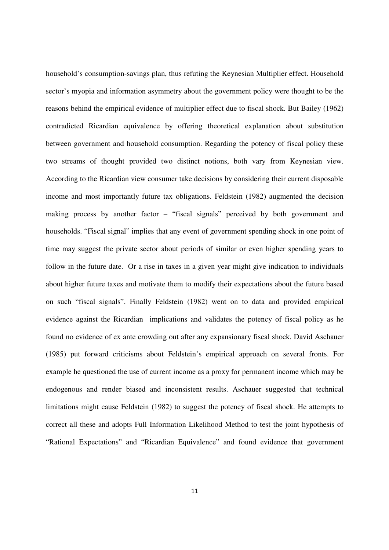household's consumption-savings plan, thus refuting the Keynesian Multiplier effect. Household sector's myopia and information asymmetry about the government policy were thought to be the reasons behind the empirical evidence of multiplier effect due to fiscal shock. But Bailey (1962) contradicted Ricardian equivalence by offering theoretical explanation about substitution between government and household consumption. Regarding the potency of fiscal policy these two streams of thought provided two distinct notions, both vary from Keynesian view. According to the Ricardian view consumer take decisions by considering their current disposable income and most importantly future tax obligations. Feldstein (1982) augmented the decision making process by another factor – "fiscal signals" perceived by both government and households. "Fiscal signal" implies that any event of government spending shock in one point of time may suggest the private sector about periods of similar or even higher spending years to follow in the future date. Or a rise in taxes in a given year might give indication to individuals about higher future taxes and motivate them to modify their expectations about the future based on such "fiscal signals". Finally Feldstein (1982) went on to data and provided empirical evidence against the Ricardian implications and validates the potency of fiscal policy as he found no evidence of ex ante crowding out after any expansionary fiscal shock. David Aschauer (1985) put forward criticisms about Feldstein's empirical approach on several fronts. For example he questioned the use of current income as a proxy for permanent income which may be endogenous and render biased and inconsistent results. Aschauer suggested that technical limitations might cause Feldstein (1982) to suggest the potency of fiscal shock. He attempts to correct all these and adopts Full Information Likelihood Method to test the joint hypothesis of "Rational Expectations" and "Ricardian Equivalence" and found evidence that government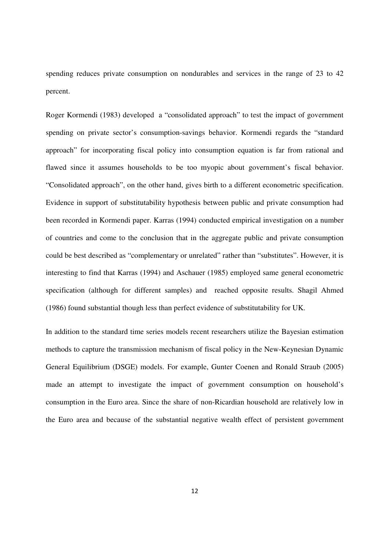spending reduces private consumption on nondurables and services in the range of 23 to 42 percent.

Roger Kormendi (1983) developed a "consolidated approach" to test the impact of government spending on private sector's consumption-savings behavior. Kormendi regards the "standard approach" for incorporating fiscal policy into consumption equation is far from rational and flawed since it assumes households to be too myopic about government's fiscal behavior. "Consolidated approach", on the other hand, gives birth to a different econometric specification. Evidence in support of substitutability hypothesis between public and private consumption had been recorded in Kormendi paper. Karras (1994) conducted empirical investigation on a number of countries and come to the conclusion that in the aggregate public and private consumption could be best described as "complementary or unrelated" rather than "substitutes". However, it is interesting to find that Karras (1994) and Aschauer (1985) employed same general econometric specification (although for different samples) and reached opposite results. Shagil Ahmed (1986) found substantial though less than perfect evidence of substitutability for UK.

In addition to the standard time series models recent researchers utilize the Bayesian estimation methods to capture the transmission mechanism of fiscal policy in the New-Keynesian Dynamic General Equilibrium (DSGE) models. For example, Gunter Coenen and Ronald Straub (2005) made an attempt to investigate the impact of government consumption on household's consumption in the Euro area. Since the share of non-Ricardian household are relatively low in the Euro area and because of the substantial negative wealth effect of persistent government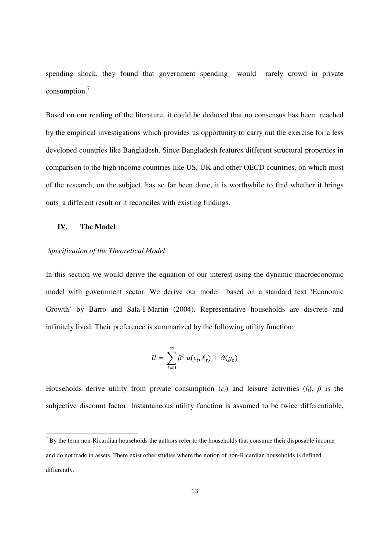spending shock, they found that government spending would rarely crowd in private consumption. $7$ 

Based on our reading of the literature, it could be deduced that no consensus has been reached by the empirical investigations which provides us opportunity to carry out the exercise for a less developed countries like Bangladesh. Since Bangladesh features different structural properties in comparison to the high income countries like US, UK and other OECD countries, on which most of the research, on the subject, has so far been done, it is worthwhile to find whether it brings outs a different result or it reconciles with existing findings.

# **IV. The Model**

<u>.</u>

# *Specification of the Theoretical Model*

In this section we would derive the equation of our interest using the dynamic macroeconomic model with government sector. We derive our model based on a standard text 'Economic Growth' by Barro and Sala-I-Martin (2004). Representative households are discrete and infinitely lived. Their preference is summarized by the following utility function:

$$
U = \sum_{t=0}^{\infty} \beta^t u(c_t, \ell_t) + \vartheta(g_t)
$$

Households derive utility from private consumption  $(c_t)$  and leisure activities  $(l_t)$ .  $\beta$  is the subjective discount factor. Instantaneous utility function is assumed to be twice differentiable,

<sup>&</sup>lt;sup>7</sup> By the term non-Ricardian households the authors refer to the households that consume their disposable income and do not trade in assets. There exist other studies where the notion of non-Ricardian households is defined differently.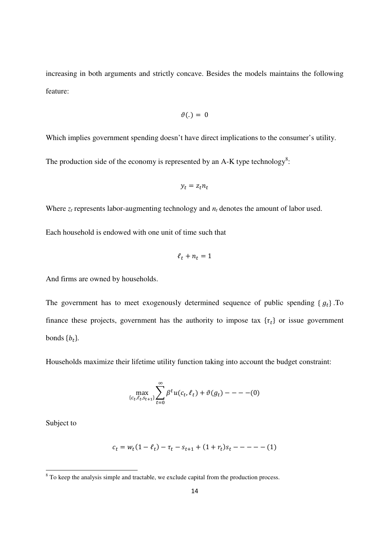increasing in both arguments and strictly concave. Besides the models maintains the following feature:

$$
\vartheta(.) = 0
$$

Which implies government spending doesn't have direct implications to the consumer's utility.

The production side of the economy is represented by an A-K type technology<sup>8</sup>:

$$
y_t = z_t n_t
$$

Where  $z_t$  represents labor-augmenting technology and  $n_t$  denotes the amount of labor used.

Each household is endowed with one unit of time such that

$$
\ell_t + n_t = 1
$$

And firms are owned by households.

The government has to meet exogenously determined sequence of public spending  $\{g_t\}$ . To finance these projects, government has the authority to impose tax  $\{\tau_t\}$  or issue government bonds  $\{b_t\}$ .

Households maximize their lifetime utility function taking into account the budget constraint:

$$
\max_{\{c_t, \ell_t, s_{t+1}\}} \sum_{t=0}^{\infty} \beta^t u(c_t, \ell_t) + \vartheta(g_t) - - - - (0)
$$

Subject to

.<br>-

$$
c_t = w_t(1 - \ell_t) - \tau_t - s_{t+1} + (1 + r_t)s_t - \dots - (1)
$$

<sup>&</sup>lt;sup>8</sup> To keep the analysis simple and tractable, we exclude capital from the production process.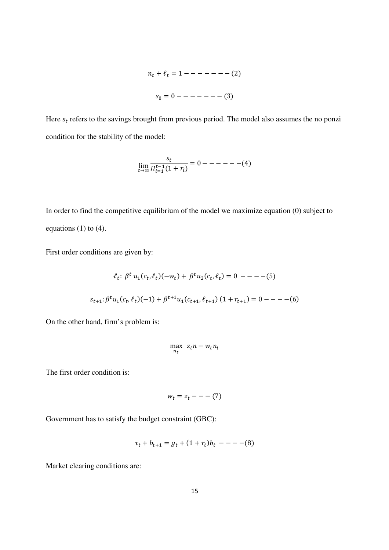+ ℓ = 1 − − − − − − − 2 ' = 0 − − − − − − − 3

Here  $s_t$  refers to the savings brought from previous period. The model also assumes the no ponzi condition for the stability of the model:

$$
\lim_{t \to \infty} \frac{s_t}{\prod_{i=1}^{t-1} (1 + r_i)} = 0 --- (4)
$$

In order to find the competitive equilibrium of the model we maximize equation (0) subject to equations  $(1)$  to  $(4)$ .

First order conditions are given by:

$$
\ell_t: \beta^t u_1(c_t, \ell_t)(-w_t) + \beta^t u_2(c_t, \ell_t) = 0 --- (5)
$$
  

$$
s_{t+1}: \beta^t u_1(c_t, \ell_t)(-1) + \beta^{t+1} u_1(c_{t+1}, \ell_{t+1}) (1 + r_{t+1}) = 0 --- (6)
$$

On the other hand, firm's problem is:

$$
\max_{n_t} z_t n - w_t n_t
$$

The first order condition is:

$$
w_t = z_t - - - (7)
$$

Government has to satisfy the budget constraint (GBC):

$$
\tau_t + b_{t+1} = g_t + (1 + r_t)b_t \ - - - (8)
$$

Market clearing conditions are: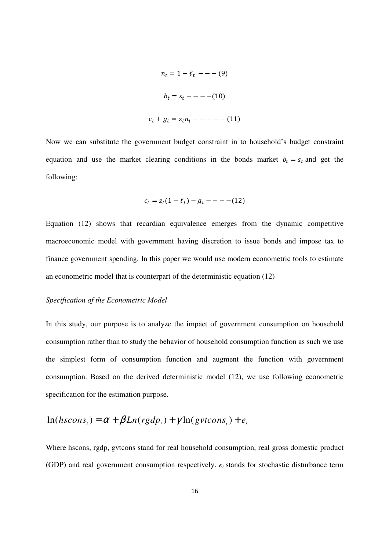$$
n_t = 1 - \ell_t
$$
 --- (9)  

$$
b_t = s_t
$$
 --- (10)  

$$
c_t + g_t = z_t n_t
$$
 --- (11)

Now we can substitute the government budget constraint in to household's budget constraint equation and use the market clearing conditions in the bonds market  $b_t = s_t$  and get the following:

$$
c_t = z_t(1 - \ell_t) - g_t - - - - (12)
$$

Equation (12) shows that recardian equivalence emerges from the dynamic competitive macroeconomic model with government having discretion to issue bonds and impose tax to finance government spending. In this paper we would use modern econometric tools to estimate an econometric model that is counterpart of the deterministic equation (12)

# *Specification of the Econometric Model*

In this study, our purpose is to analyze the impact of government consumption on household consumption rather than to study the behavior of household consumption function as such we use the simplest form of consumption function and augment the function with government consumption. Based on the derived deterministic model (12), we use following econometric specification for the estimation purpose.

$$
\ln(hscons_{t}) = \alpha + \beta Ln(rgdp_{t}) + \gamma \ln(gvtoins_{t}) + e_{t}
$$

Where hscons, rgdp, gvtcons stand for real household consumption, real gross domestic product (GDP) and real government consumption respectively. *e<sup>t</sup>* stands for stochastic disturbance term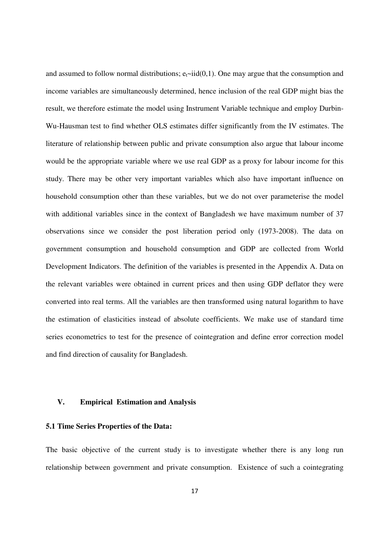and assumed to follow normal distributions;  $e_t \sim \text{iid}(0,1)$ . One may argue that the consumption and income variables are simultaneously determined, hence inclusion of the real GDP might bias the result, we therefore estimate the model using Instrument Variable technique and employ Durbin-Wu-Hausman test to find whether OLS estimates differ significantly from the IV estimates. The literature of relationship between public and private consumption also argue that labour income would be the appropriate variable where we use real GDP as a proxy for labour income for this study. There may be other very important variables which also have important influence on household consumption other than these variables, but we do not over parameterise the model with additional variables since in the context of Bangladesh we have maximum number of 37 observations since we consider the post liberation period only (1973-2008). The data on government consumption and household consumption and GDP are collected from World Development Indicators. The definition of the variables is presented in the Appendix A. Data on the relevant variables were obtained in current prices and then using GDP deflator they were converted into real terms. All the variables are then transformed using natural logarithm to have the estimation of elasticities instead of absolute coefficients. We make use of standard time series econometrics to test for the presence of cointegration and define error correction model and find direction of causality for Bangladesh.

# **V. Empirical Estimation and Analysis**

# **5.1 Time Series Properties of the Data:**

The basic objective of the current study is to investigate whether there is any long run relationship between government and private consumption. Existence of such a cointegrating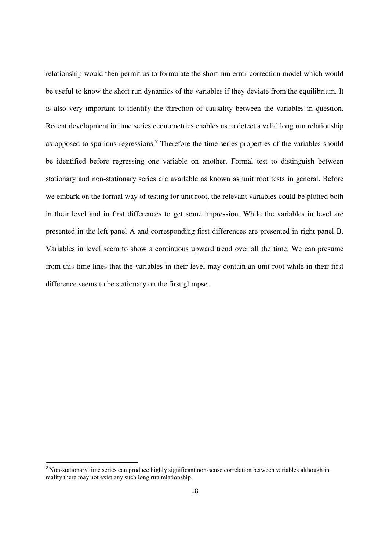relationship would then permit us to formulate the short run error correction model which would be useful to know the short run dynamics of the variables if they deviate from the equilibrium. It is also very important to identify the direction of causality between the variables in question. Recent development in time series econometrics enables us to detect a valid long run relationship as opposed to spurious regressions.<sup>9</sup> Therefore the time series properties of the variables should be identified before regressing one variable on another. Formal test to distinguish between stationary and non-stationary series are available as known as unit root tests in general. Before we embark on the formal way of testing for unit root, the relevant variables could be plotted both in their level and in first differences to get some impression. While the variables in level are presented in the left panel A and corresponding first differences are presented in right panel B. Variables in level seem to show a continuous upward trend over all the time. We can presume from this time lines that the variables in their level may contain an unit root while in their first difference seems to be stationary on the first glimpse.

<u>.</u>

<sup>&</sup>lt;sup>9</sup> Non-stationary time series can produce highly significant non-sense correlation between variables although in reality there may not exist any such long run relationship.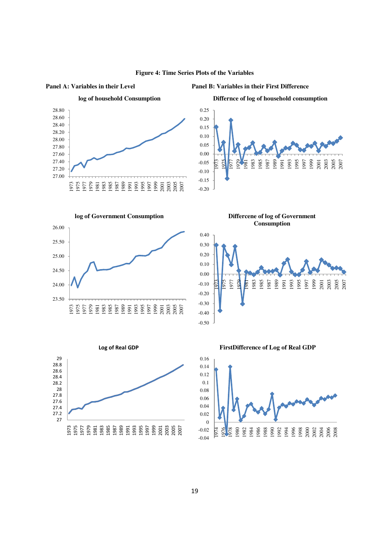

#### **Figure 4: Time Series Plots of the Variables**

**Panel A: Variables in their Level Panel B: Variables in their First Difference** 



**Differnce of log of household consumption**





**Differcene of log of Government Consumption**





**FirstDifference of Log of Real GDP**

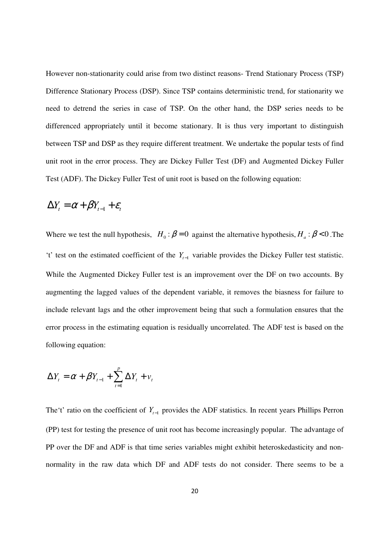However non-stationarity could arise from two distinct reasons- Trend Stationary Process (TSP) Difference Stationary Process (DSP). Since TSP contains deterministic trend, for stationarity we need to detrend the series in case of TSP. On the other hand, the DSP series needs to be differenced appropriately until it become stationary. It is thus very important to distinguish between TSP and DSP as they require different treatment. We undertake the popular tests of find unit root in the error process. They are Dickey Fuller Test (DF) and Augmented Dickey Fuller Test (ADF). The Dickey Fuller Test of unit root is based on the following equation:

$$
\Delta Y_t = \alpha + \beta Y_{t-1} + \varepsilon_t
$$

Where we test the null hypothesis,  $H_0$ :  $\beta = 0$  against the alternative hypothesis,  $H_a$ :  $\beta < 0$ . The 't' test on the estimated coefficient of the *Yt*−<sup>1</sup> variable provides the Dickey Fuller test statistic. While the Augmented Dickey Fuller test is an improvement over the DF on two accounts. By augmenting the lagged values of the dependent variable, it removes the biasness for failure to include relevant lags and the other improvement being that such a formulation ensures that the error process in the estimating equation is residually uncorrelated. The ADF test is based on the following equation:

$$
\Delta Y_t = \alpha + \beta Y_{t-1} + \sum_{t=1}^p \Delta Y_t + v_t
$$

The't' ratio on the coefficient of *Yt*−<sup>1</sup> provides the ADF statistics. In recent years Phillips Perron (PP) test for testing the presence of unit root has become increasingly popular. The advantage of PP over the DF and ADF is that time series variables might exhibit heteroskedasticity and nonnormality in the raw data which DF and ADF tests do not consider. There seems to be a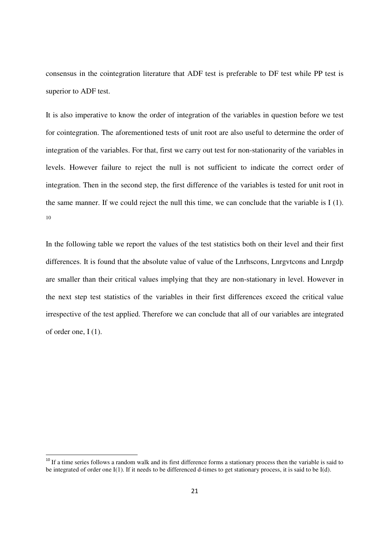consensus in the cointegration literature that ADF test is preferable to DF test while PP test is superior to ADF test.

It is also imperative to know the order of integration of the variables in question before we test for cointegration. The aforementioned tests of unit root are also useful to determine the order of integration of the variables. For that, first we carry out test for non-stationarity of the variables in levels. However failure to reject the null is not sufficient to indicate the correct order of integration. Then in the second step, the first difference of the variables is tested for unit root in the same manner. If we could reject the null this time, we can conclude that the variable is I (1). 10

In the following table we report the values of the test statistics both on their level and their first differences. It is found that the absolute value of value of the Lnrhscons, Lnrgvtcons and Lnrgdp are smaller than their critical values implying that they are non-stationary in level. However in the next step test statistics of the variables in their first differences exceed the critical value irrespective of the test applied. Therefore we can conclude that all of our variables are integrated of order one, I (1).

<u>.</u>

<sup>&</sup>lt;sup>10</sup> If a time series follows a random walk and its first difference forms a stationary process then the variable is said to be integrated of order one I(1). If it needs to be differenced d-times to get stationary process, it is said to be I(d).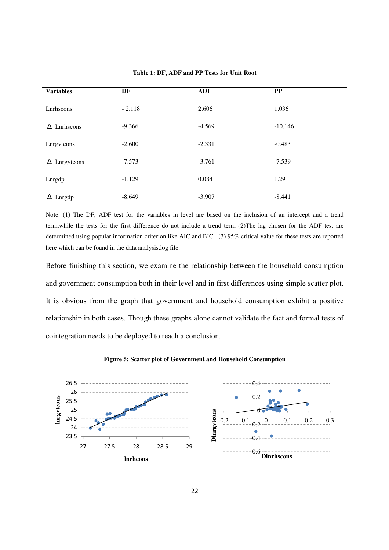| <b>Variables</b>      | DF       | <b>ADF</b> | $\bf PP$  |
|-----------------------|----------|------------|-----------|
|                       |          |            |           |
| Lnrhscons             | $-2.118$ | 2.606      | 1.036     |
| $\triangle$ Lnrhscons | $-9.366$ | $-4.569$   | $-10.146$ |
|                       |          |            |           |
| Lnrgvtcons            | $-2.600$ | $-2.331$   | $-0.483$  |
|                       |          |            |           |
| $\Delta$ Lnrgvtcons   | $-7.573$ | $-3.761$   | $-7.539$  |
|                       |          |            |           |
| Lnrgdp                | $-1.129$ | 0.084      | 1.291     |
|                       |          |            |           |
| $\Delta$ Lnrgdp       | $-8.649$ | $-3.907$   | $-8.441$  |

**Table 1: DF, ADF and PP Tests for Unit Root**

Note: (1) The DF, ADF test for the variables in level are based on the inclusion of an intercept and a trend term.while the tests for the first difference do not include a trend term (2)The lag chosen for the ADF test are determined using popular information criterion like AIC and BIC. (3) 95% critical value for these tests are reported here which can be found in the data analysis.log file.

Before finishing this section, we examine the relationship between the household consumption and government consumption both in their level and in first differences using simple scatter plot. It is obvious from the graph that government and household consumption exhibit a positive relationship in both cases. Though these graphs alone cannot validate the fact and formal tests of cointegration needs to be deployed to reach a conclusion.



#### **Figure 5: Scatter plot of Government and Household Consumption**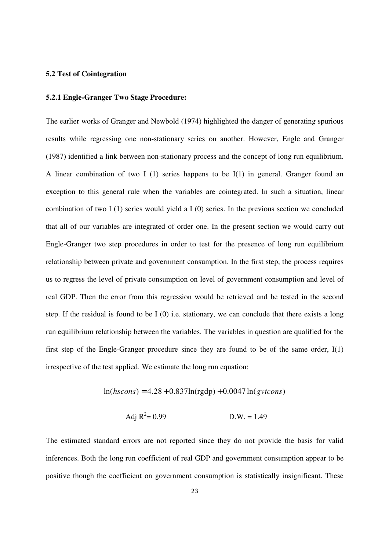# **5.2 Test of Cointegration**

## **5.2.1 Engle-Granger Two Stage Procedure:**

The earlier works of Granger and Newbold (1974) highlighted the danger of generating spurious results while regressing one non-stationary series on another. However, Engle and Granger (1987) identified a link between non-stationary process and the concept of long run equilibrium. A linear combination of two I (1) series happens to be  $I(1)$  in general. Granger found an exception to this general rule when the variables are cointegrated. In such a situation, linear combination of two I  $(1)$  series would yield a I  $(0)$  series. In the previous section we concluded that all of our variables are integrated of order one. In the present section we would carry out Engle-Granger two step procedures in order to test for the presence of long run equilibrium relationship between private and government consumption. In the first step, the process requires us to regress the level of private consumption on level of government consumption and level of real GDP. Then the error from this regression would be retrieved and be tested in the second step. If the residual is found to be I (0) i.e. stationary, we can conclude that there exists a long run equilibrium relationship between the variables. The variables in question are qualified for the first step of the Engle-Granger procedure since they are found to be of the same order,  $I(1)$ irrespective of the test applied. We estimate the long run equation:

 $ln(hscons) = 4.28 + 0.837ln(rgdp) + 0.0047 ln(gvtoons)$ 

$$
Adj R2 = 0.99
$$
 D.W. = 1.49

The estimated standard errors are not reported since they do not provide the basis for valid inferences. Both the long run coefficient of real GDP and government consumption appear to be positive though the coefficient on government consumption is statistically insignificant. These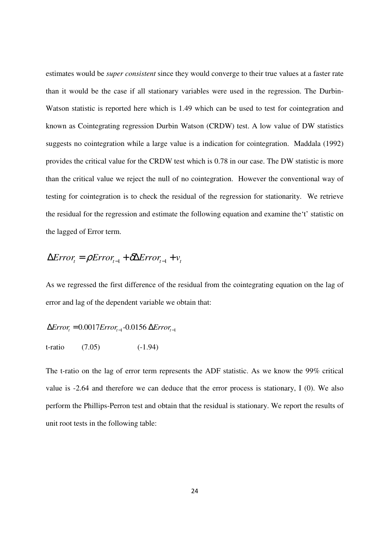estimates would be *super consistent* since they would converge to their true values at a faster rate than it would be the case if all stationary variables were used in the regression. The Durbin-Watson statistic is reported here which is 1.49 which can be used to test for cointegration and known as Cointegrating regression Durbin Watson (CRDW) test. A low value of DW statistics suggests no cointegration while a large value is a indication for cointegration. Maddala (1992) provides the critical value for the CRDW test which is 0.78 in our case. The DW statistic is more than the critical value we reject the null of no cointegration. However the conventional way of testing for cointegration is to check the residual of the regression for stationarity. We retrieve the residual for the regression and estimate the following equation and examine the't' statistic on the lagged of Error term.

$$
\Delta Error_{t} = \rho Error_{t-1} + \delta \Delta Error_{t-1} + v_{t}
$$

As we regressed the first difference of the residual from the cointegrating equation on the lag of error and lag of the dependent variable we obtain that:

$$
\Delta Error_{t} = 0.0017 Error_{t-1} - 0.0156 \Delta Error_{t-1}
$$

$$
t-ratio \t(7.05) \t(-1.94)
$$

The t-ratio on the lag of error term represents the ADF statistic. As we know the 99% critical value is -2.64 and therefore we can deduce that the error process is stationary, I (0). We also perform the Phillips-Perron test and obtain that the residual is stationary. We report the results of unit root tests in the following table: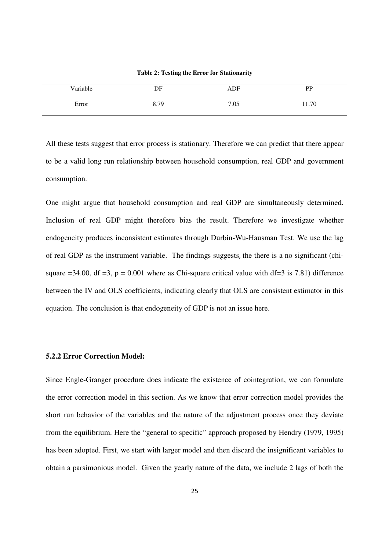| Variable | DF   | ADF  | <b>DD</b> |
|----------|------|------|-----------|
| Error    | 8.79 | 7.05 | 11.70     |

**Table 2: Testing the Error for Stationarity** 

All these tests suggest that error process is stationary. Therefore we can predict that there appear to be a valid long run relationship between household consumption, real GDP and government consumption.

One might argue that household consumption and real GDP are simultaneously determined. Inclusion of real GDP might therefore bias the result. Therefore we investigate whether endogeneity produces inconsistent estimates through Durbin-Wu-Hausman Test. We use the lag of real GDP as the instrument variable. The findings suggests, the there is a no significant (chisquare  $=34.00$ , df  $=3$ , p = 0.001 where as Chi-square critical value with df=3 is 7.81) difference between the IV and OLS coefficients, indicating clearly that OLS are consistent estimator in this equation. The conclusion is that endogeneity of GDP is not an issue here.

# **5.2.2 Error Correction Model:**

Since Engle-Granger procedure does indicate the existence of cointegration, we can formulate the error correction model in this section. As we know that error correction model provides the short run behavior of the variables and the nature of the adjustment process once they deviate from the equilibrium. Here the "general to specific" approach proposed by Hendry (1979, 1995) has been adopted. First, we start with larger model and then discard the insignificant variables to obtain a parsimonious model. Given the yearly nature of the data, we include 2 lags of both the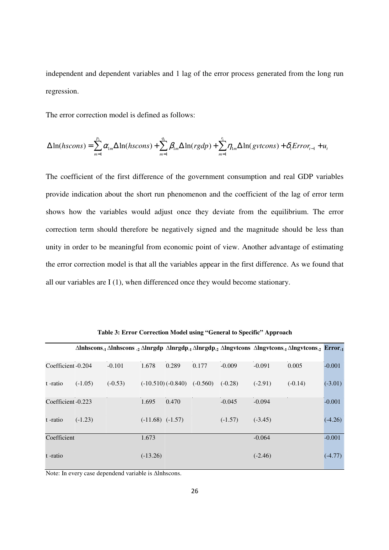independent and dependent variables and 1 lag of the error process generated from the long run regression.

The error correction model is defined as follows:

$$
\Delta \ln(hscons) = \sum_{m=1}^{p_1} \alpha_{1m} \Delta \ln(hscons) + \sum_{m=1}^{q_1} \beta_{1m} \Delta \ln(rgdp) + \sum_{m=1}^{r_1} \eta_{1m} \Delta \ln(gvtcons) + \delta_1 Error_{t-1} + u_t
$$

The coefficient of the first difference of the government consumption and real GDP variables provide indication about the short run phenomenon and the coefficient of the lag of error term shows how the variables would adjust once they deviate from the equilibrium. The error correction term should therefore be negatively signed and the magnitude should be less than unity in order to be meaningful from economic point of view. Another advantage of estimating the error correction model is that all the variables appear in the first difference. As we found that all our variables are I (1), when differenced once they would become stationary.

|                    |           |           |                      |                                |       |           |           | $\Delta$ lnhscons. <sub>1</sub> $\Delta$ lnhscons. <sub>2</sub> $\Delta$ lnrgdp $\Delta$ lnrgdp. <sub>1</sub> $\Delta$ lnrgdp. <sub>2</sub> $\Delta$ lngvtcons. <sub>1</sub> $\Delta$ lngvtcons. <sub>2</sub> $\text{Error}_{.1}$ |           |
|--------------------|-----------|-----------|----------------------|--------------------------------|-------|-----------|-----------|-----------------------------------------------------------------------------------------------------------------------------------------------------------------------------------------------------------------------------------|-----------|
| Coefficient -0.204 |           | $-0.101$  | 1.678                | 0.289                          | 0.177 | $-0.009$  | $-0.091$  | 0.005                                                                                                                                                                                                                             | $-0.001$  |
| t -ratio           | $(-1.05)$ | $(-0.53)$ |                      | $(-10.510)(-0.840)$ $(-0.560)$ |       | $(-0.28)$ | $(-2.91)$ | $(-0.14)$                                                                                                                                                                                                                         | $(-3.01)$ |
| Coefficient -0.223 |           |           | 1.695                | 0.470                          |       | $-0.045$  | $-0.094$  |                                                                                                                                                                                                                                   | $-0.001$  |
| t -ratio           | $(-1.23)$ |           | $(-11.68)$ $(-1.57)$ |                                |       | $(-1.57)$ | $(-3.45)$ |                                                                                                                                                                                                                                   | $(-4.26)$ |
| Coefficient        |           |           | 1.673                |                                |       |           | $-0.064$  |                                                                                                                                                                                                                                   | $-0.001$  |
| t -ratio           |           |           | $(-13.26)$           |                                |       |           | $(-2.46)$ |                                                                                                                                                                                                                                   | $(-4.77)$ |

**Table 3: Error Correction Model using "General to Specific" Approach** 

Note: In every case dependend variable is ∆lnhscons.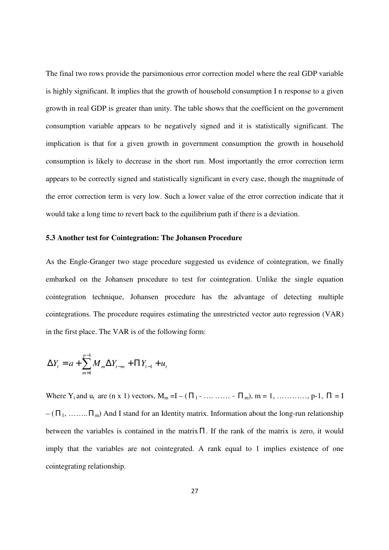The final two rows provide the parsimonious error correction model where the real GDP variable is highly significant. It implies that the growth of household consumption I n response to a given growth in real GDP is greater than unity. The table shows that the coefficient on the government consumption variable appears to be negatively signed and it is statistically significant. The implication is that for a given growth in government consumption the growth in household consumption is likely to decrease in the short run. Most importantly the error correction term appears to be correctly signed and statistically significant in every case, though the magnitude of the error correction term is very low. Such a lower value of the error correction indicate that it would take a long time to revert back to the equilibrium path if there is a deviation.

### **5.3 Another test for Cointegration: The Johansen Procedure**

As the Engle-Granger two stage procedure suggested us evidence of cointegration, we finally embarked on the Johansen procedure to test for cointegration. Unlike the single equation cointegration technique, Johansen procedure has the advantage of detecting multiple cointegrations. The procedure requires estimating the unrestricted vector auto regression (VAR) in the first place. The VAR is of the following form:

$$
\Delta Y_t = a + \sum_{m=1}^{p-1} M_m \Delta Y_{t-m} + \Pi Y_{t-1} + u_t
$$

Where  $Y_t$  and  $u_t$  are (n x 1) vectors,  $M_m = I - (\Pi_1 - \dots - \Pi_m)$ ,  $m = 1, \dots, \dots, n-1$ ,  $\Pi = I$  $-(\Pi_1, \ldots, \Pi_m)$  And I stand for an Identity matrix. Information about the long-run relationship between the variables is contained in the matrix  $\Pi$ . If the rank of the matrix is zero, it would imply that the variables are not cointegrated. A rank equal to 1 implies existence of one cointegrating relationship.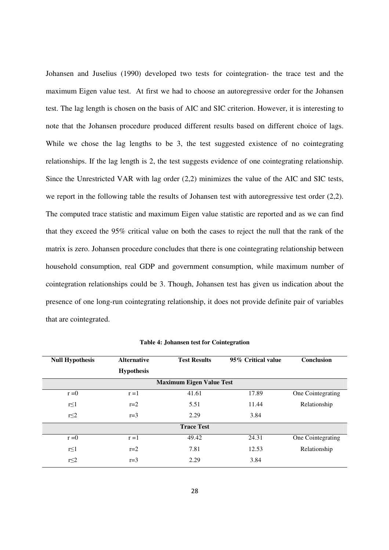Johansen and Juselius (1990) developed two tests for cointegration- the trace test and the maximum Eigen value test. At first we had to choose an autoregressive order for the Johansen test. The lag length is chosen on the basis of AIC and SIC criterion. However, it is interesting to note that the Johansen procedure produced different results based on different choice of lags. While we chose the lag lengths to be 3, the test suggested existence of no cointegrating relationships. If the lag length is 2, the test suggests evidence of one cointegrating relationship. Since the Unrestricted VAR with lag order (2,2) minimizes the value of the AIC and SIC tests, we report in the following table the results of Johansen test with autoregressive test order (2,2). The computed trace statistic and maximum Eigen value statistic are reported and as we can find that they exceed the 95% critical value on both the cases to reject the null that the rank of the matrix is zero. Johansen procedure concludes that there is one cointegrating relationship between household consumption, real GDP and government consumption, while maximum number of cointegration relationships could be 3. Though, Johansen test has given us indication about the presence of one long-run cointegrating relationship, it does not provide definite pair of variables that are cointegrated.

| <b>Null Hypothesis</b>          | <b>Alternative</b><br><b>Hypothesis</b> | <b>Test Results</b> | 95% Critical value | Conclusion        |  |  |  |  |
|---------------------------------|-----------------------------------------|---------------------|--------------------|-------------------|--|--|--|--|
| <b>Maximum Eigen Value Test</b> |                                         |                     |                    |                   |  |  |  |  |
| $r = 0$                         | $r = 1$                                 | 41.61               | 17.89              | One Cointegrating |  |  |  |  |
| $r \leq 1$                      | $r=2$                                   | 5.51                | 11.44              | Relationship      |  |  |  |  |
| r<2                             | $r=3$                                   | 2.29                | 3.84               |                   |  |  |  |  |
| <b>Trace Test</b>               |                                         |                     |                    |                   |  |  |  |  |
| $r = 0$                         | $r = 1$                                 | 49.42               | 24.31              | One Cointegrating |  |  |  |  |
| $r \leq 1$                      | $r=2$                                   | 7.81                | 12.53              | Relationship      |  |  |  |  |
| r<2                             | $r=3$                                   | 2.29                | 3.84               |                   |  |  |  |  |

**Table 4: Johansen test for Cointegration**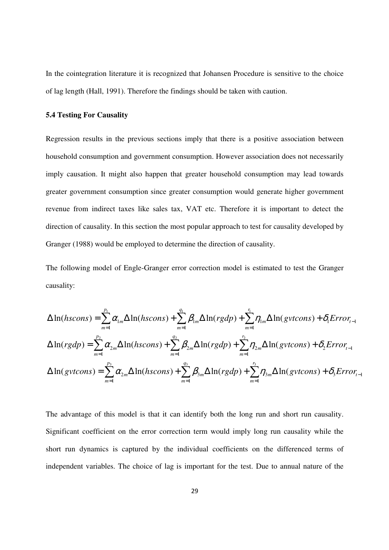In the cointegration literature it is recognized that Johansen Procedure is sensitive to the choice of lag length (Hall, 1991). Therefore the findings should be taken with caution.

## **5.4 Testing For Causality**

Regression results in the previous sections imply that there is a positive association between household consumption and government consumption. However association does not necessarily imply causation. It might also happen that greater household consumption may lead towards greater government consumption since greater consumption would generate higher government revenue from indirect taxes like sales tax, VAT etc. Therefore it is important to detect the direction of causality. In this section the most popular approach to test for causality developed by Granger (1988) would be employed to determine the direction of causality.

The following model of Engle-Granger error correction model is estimated to test the Granger causality:

$$
\Delta \ln(hscons) = \sum_{m=1}^{p_1} \alpha_{1m} \Delta \ln(hscons) + \sum_{m=1}^{q_1} \beta_{1m} \Delta \ln(rgdp) + \sum_{m=1}^{r_1} \eta_{1m} \Delta \ln(gvtcons) + \delta_1 Error_{t-1}
$$
  

$$
\Delta \ln(rgdp) = \sum_{m=1}^{p_2} \alpha_{2m} \Delta \ln(hscons) + \sum_{m=1}^{q_2} \beta_{2m} \Delta \ln(rgdp) + \sum_{m=1}^{r_2} \eta_{2m} \Delta \ln(gvtcons) + \delta_2 Error_{t-1}
$$
  

$$
\Delta \ln(gvtcons) = \sum_{m=1}^{p_3} \alpha_{2m} \Delta \ln(hscons) + \sum_{m=1}^{q_3} \beta_{3m} \Delta \ln(rgdp) + \sum_{m=1}^{r_3} \eta_{3m} \Delta \ln(gvtcons) + \delta_3 Error_{t-1}
$$

The advantage of this model is that it can identify both the long run and short run causality. Significant coefficient on the error correction term would imply long run causality while the short run dynamics is captured by the individual coefficients on the differenced terms of independent variables. The choice of lag is important for the test. Due to annual nature of the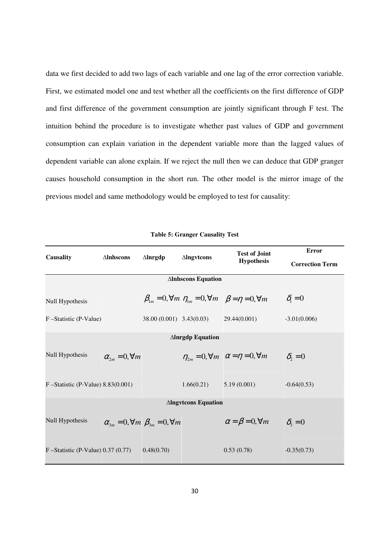data we first decided to add two lags of each variable and one lag of the error correction variable. First, we estimated model one and test whether all the coefficients on the first difference of GDP and first difference of the government consumption are jointly significant through F test. The intuition behind the procedure is to investigate whether past values of GDP and government consumption can explain variation in the dependent variable more than the lagged values of dependent variable can alone explain. If we reject the null then we can deduce that GDP granger causes household consumption in the short run. The other model is the mirror image of the previous model and same methodology would be employed to test for causality:

| <b>Causality</b>                      | $\Delta$ Inhscons                                        | $\Delta$ lnrgdp | <b>Alngvtcons</b>                          | <b>Test of Joint</b>                                                                      | <b>Error</b>                       |  |  |  |
|---------------------------------------|----------------------------------------------------------|-----------------|--------------------------------------------|-------------------------------------------------------------------------------------------|------------------------------------|--|--|--|
|                                       |                                                          |                 |                                            | <b>Hypothesis</b>                                                                         | <b>Correction Term</b>             |  |  |  |
|                                       | <b>Alnhscons Equation</b>                                |                 |                                            |                                                                                           |                                    |  |  |  |
| Null Hypothesis                       |                                                          |                 |                                            | $\beta_{1m} = 0$ , $\forall m \eta_{1m} = 0$ , $\forall m \beta = \eta = 0$ , $\forall m$ | $\delta_{\scriptscriptstyle{1}}=0$ |  |  |  |
| F-Statistic (P-Value)                 |                                                          |                 | $38.00(0.001)$ $3.43(0.03)$ $29.44(0.001)$ |                                                                                           | $-3.01(0.006)$                     |  |  |  |
| <b>Alnrgdp Equation</b>               |                                                          |                 |                                            |                                                                                           |                                    |  |  |  |
| Null Hypothesis                       | $\alpha_{2m} = 0, \forall m$                             |                 |                                            | $\eta_{2m} = 0, \forall m \quad \alpha = \eta = 0, \forall m$                             | $\delta_{2} = 0$                   |  |  |  |
| $F -$ Statistic (P-Value) 8.83(0.001) |                                                          |                 | 1.66(0.21)                                 | 5.19(0.001)                                                                               | $-0.64(0.53)$                      |  |  |  |
| <b>Alngvtcons Equation</b>            |                                                          |                 |                                            |                                                                                           |                                    |  |  |  |
| Null Hypothesis                       | $\alpha_{3m} = 0, \forall m \ \beta_{3m} = 0, \forall m$ |                 |                                            | $\alpha = \beta = 0, \forall m$                                                           | $\delta_{3}=0$                     |  |  |  |
| F-Statistic (P-Value) $0.37$ (0.77)   |                                                          | 0.48(0.70)      |                                            | 0.53(0.78)                                                                                | $-0.35(0.73)$                      |  |  |  |

**Table 5: Granger Causality Test**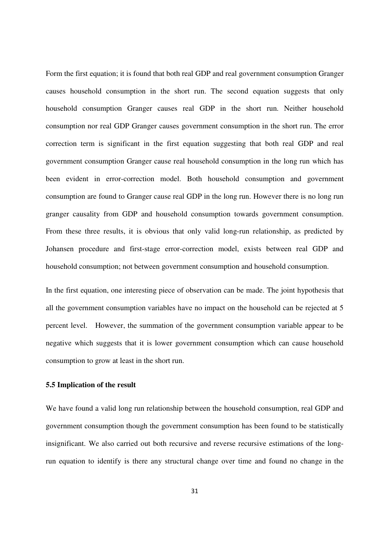Form the first equation; it is found that both real GDP and real government consumption Granger causes household consumption in the short run. The second equation suggests that only household consumption Granger causes real GDP in the short run. Neither household consumption nor real GDP Granger causes government consumption in the short run. The error correction term is significant in the first equation suggesting that both real GDP and real government consumption Granger cause real household consumption in the long run which has been evident in error-correction model. Both household consumption and government consumption are found to Granger cause real GDP in the long run. However there is no long run granger causality from GDP and household consumption towards government consumption. From these three results, it is obvious that only valid long-run relationship, as predicted by Johansen procedure and first-stage error-correction model, exists between real GDP and household consumption; not between government consumption and household consumption.

In the first equation, one interesting piece of observation can be made. The joint hypothesis that all the government consumption variables have no impact on the household can be rejected at 5 percent level. However, the summation of the government consumption variable appear to be negative which suggests that it is lower government consumption which can cause household consumption to grow at least in the short run.

## **5.5 Implication of the result**

We have found a valid long run relationship between the household consumption, real GDP and government consumption though the government consumption has been found to be statistically insignificant. We also carried out both recursive and reverse recursive estimations of the longrun equation to identify is there any structural change over time and found no change in the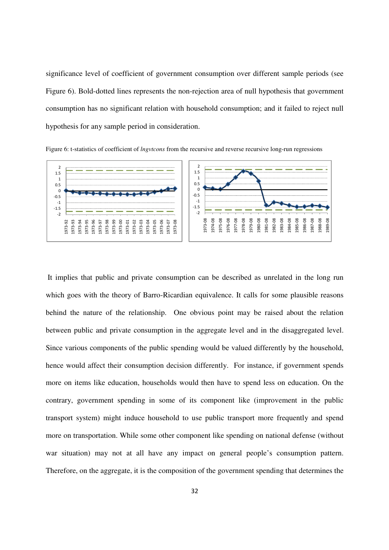significance level of coefficient of government consumption over different sample periods (see Figure 6). Bold-dotted lines represents the non-rejection area of null hypothesis that government consumption has no significant relation with household consumption; and it failed to reject null hypothesis for any sample period in consideration.



Figure 6: t-statistics of coefficient of *lngvtcons* from the recursive and reverse recursive long-run regressions

 It implies that public and private consumption can be described as unrelated in the long run which goes with the theory of Barro-Ricardian equivalence. It calls for some plausible reasons behind the nature of the relationship. One obvious point may be raised about the relation between public and private consumption in the aggregate level and in the disaggregated level. Since various components of the public spending would be valued differently by the household, hence would affect their consumption decision differently. For instance, if government spends more on items like education, households would then have to spend less on education. On the contrary, government spending in some of its component like (improvement in the public transport system) might induce household to use public transport more frequently and spend more on transportation. While some other component like spending on national defense (without war situation) may not at all have any impact on general people's consumption pattern. Therefore, on the aggregate, it is the composition of the government spending that determines the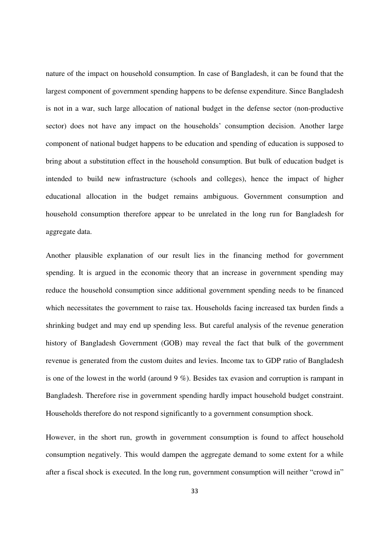nature of the impact on household consumption. In case of Bangladesh, it can be found that the largest component of government spending happens to be defense expenditure. Since Bangladesh is not in a war, such large allocation of national budget in the defense sector (non-productive sector) does not have any impact on the households' consumption decision. Another large component of national budget happens to be education and spending of education is supposed to bring about a substitution effect in the household consumption. But bulk of education budget is intended to build new infrastructure (schools and colleges), hence the impact of higher educational allocation in the budget remains ambiguous. Government consumption and household consumption therefore appear to be unrelated in the long run for Bangladesh for aggregate data.

Another plausible explanation of our result lies in the financing method for government spending. It is argued in the economic theory that an increase in government spending may reduce the household consumption since additional government spending needs to be financed which necessitates the government to raise tax. Households facing increased tax burden finds a shrinking budget and may end up spending less. But careful analysis of the revenue generation history of Bangladesh Government (GOB) may reveal the fact that bulk of the government revenue is generated from the custom duites and levies. Income tax to GDP ratio of Bangladesh is one of the lowest in the world (around 9 %). Besides tax evasion and corruption is rampant in Bangladesh. Therefore rise in government spending hardly impact household budget constraint. Households therefore do not respond significantly to a government consumption shock.

However, in the short run, growth in government consumption is found to affect household consumption negatively. This would dampen the aggregate demand to some extent for a while after a fiscal shock is executed. In the long run, government consumption will neither "crowd in"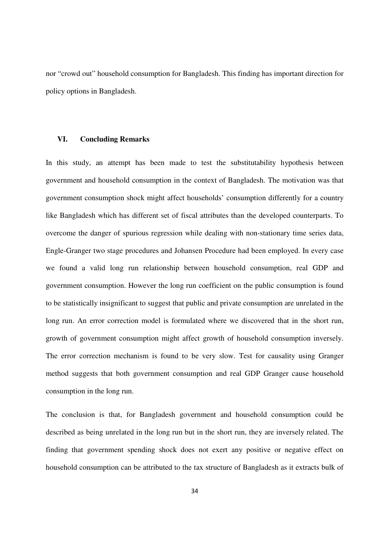nor "crowd out" household consumption for Bangladesh. This finding has important direction for policy options in Bangladesh.

# **VI. Concluding Remarks**

In this study, an attempt has been made to test the substitutability hypothesis between government and household consumption in the context of Bangladesh. The motivation was that government consumption shock might affect households' consumption differently for a country like Bangladesh which has different set of fiscal attributes than the developed counterparts. To overcome the danger of spurious regression while dealing with non-stationary time series data, Engle-Granger two stage procedures and Johansen Procedure had been employed. In every case we found a valid long run relationship between household consumption, real GDP and government consumption. However the long run coefficient on the public consumption is found to be statistically insignificant to suggest that public and private consumption are unrelated in the long run. An error correction model is formulated where we discovered that in the short run, growth of government consumption might affect growth of household consumption inversely. The error correction mechanism is found to be very slow. Test for causality using Granger method suggests that both government consumption and real GDP Granger cause household consumption in the long run.

The conclusion is that, for Bangladesh government and household consumption could be described as being unrelated in the long run but in the short run, they are inversely related. The finding that government spending shock does not exert any positive or negative effect on household consumption can be attributed to the tax structure of Bangladesh as it extracts bulk of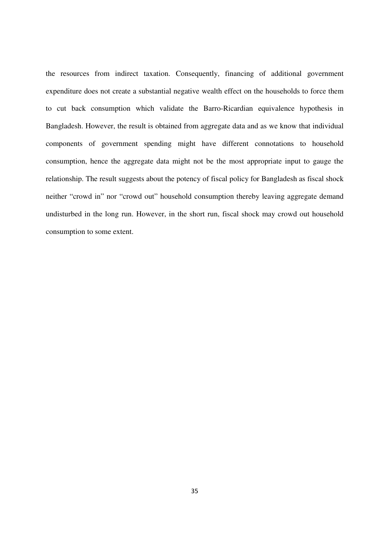the resources from indirect taxation. Consequently, financing of additional government expenditure does not create a substantial negative wealth effect on the households to force them to cut back consumption which validate the Barro-Ricardian equivalence hypothesis in Bangladesh. However, the result is obtained from aggregate data and as we know that individual components of government spending might have different connotations to household consumption, hence the aggregate data might not be the most appropriate input to gauge the relationship. The result suggests about the potency of fiscal policy for Bangladesh as fiscal shock neither "crowd in" nor "crowd out" household consumption thereby leaving aggregate demand undisturbed in the long run. However, in the short run, fiscal shock may crowd out household consumption to some extent.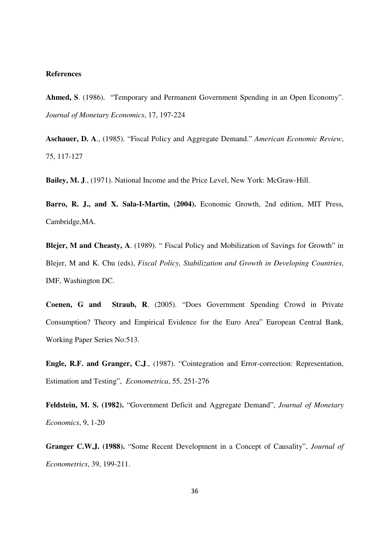## **References**

**Ahmed, S**. (1986). "Temporary and Permanent Government Spending in an Open Economy". *Journal of Monetary Economics*, 17, 197-224

**Aschauer, D. A**., (1985). "Fiscal Policy and Aggregate Demand." *American Economic Review*, 75, 117-127

**Bailey, M. J**., (1971). National Income and the Price Level, New York: McGraw-Hill.

**Barro, R. J., and X. Sala-I-Martin, (2004).** Economic Growth, 2nd edition, MIT Press, Cambridge,MA.

**Blejer, M and Cheasty, A**. (1989). " Fiscal Policy and Mobilization of Savings for Growth" in Blejer, M and K. Chu (eds), *Fiscal Policy, Stabilization and Growth in Developing Countries*, IMF, Washington DC.

**Coenen, G and Straub, R**. (2005). "Does Government Spending Crowd in Private Consumption? Theory and Empirical Evidence for the Euro Area" European Central Bank, Working Paper Series No:513.

**Engle, R.F. and Granger, C.J**., (1987). "Cointegration and Error-correction: Representation, Estimation and Testing", *Econometrica*, 55, 251-276

**Feldstein, M. S. (1982).** "Government Deficit and Aggregate Demand", *Journal of Monetary Economics*, 9, 1-20

**Granger C.W.J. (1988).** "Some Recent Development in a Concept of Causality", *Journal of Econometrics*, 39, 199-211.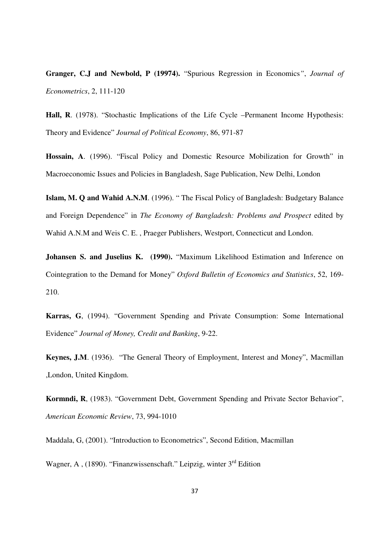**Granger, C.J and Newbold, P (19974).** "Spurious Regression in Economics*"*, *Journal of Econometrics*, 2, 111-120

**Hall, R**. (1978). "Stochastic Implications of the Life Cycle –Permanent Income Hypothesis: Theory and Evidence" *Journal of Political Economy*, 86, 971-87

**Hossain, A**. (1996). "Fiscal Policy and Domestic Resource Mobilization for Growth" in Macroeconomic Issues and Policies in Bangladesh, Sage Publication, New Delhi, London

**Islam, M. Q and Wahid A.N.M**. (1996). " The Fiscal Policy of Bangladesh: Budgetary Balance and Foreign Dependence" in *The Economy of Bangladesh: Problems and Prospect* edited by Wahid A.N.M and Weis C. E. , Praeger Publishers, Westport, Connecticut and London.

Johansen S. and Juselius K. (1990). "Maximum Likelihood Estimation and Inference on Cointegration to the Demand for Money" *Oxford Bulletin of Economics and Statistics*, 52, 169- 210.

**Karras, G**, (1994). "Government Spending and Private Consumption: Some International Evidence" *Journal of Money, Credit and Banking*, 9-22.

**Keynes, J.M**. (1936). "The General Theory of Employment, Interest and Money", Macmillan ,London, United Kingdom.

**Kormndi, R**, (1983). "Government Debt, Government Spending and Private Sector Behavior", *American Economic Review*, 73, 994-1010

Maddala, G, (2001). "Introduction to Econometrics", Second Edition, Macmillan

Wagner, A, (1890). "Finanzwissenschaft." Leipzig, winter 3<sup>rd</sup> Edition